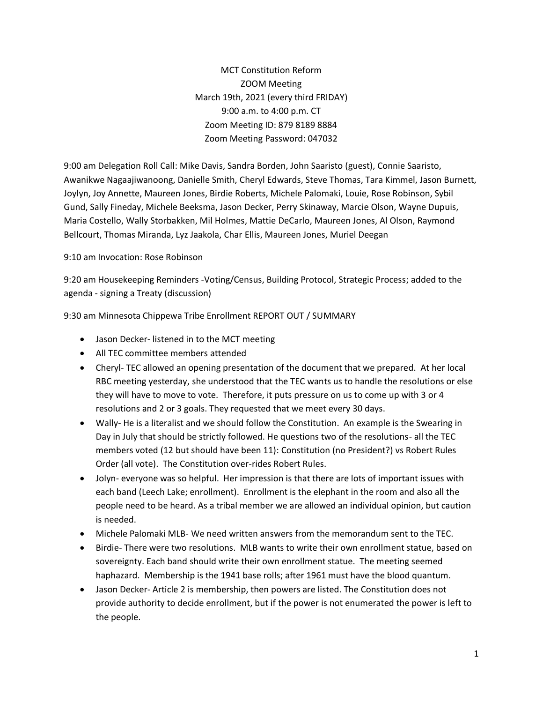MCT Constitution Reform ZOOM Meeting March 19th, 2021 (every third FRIDAY) 9:00 a.m. to 4:00 p.m. CT Zoom Meeting ID: 879 8189 8884 Zoom Meeting Password: 047032

9:00 am Delegation Roll Call: Mike Davis, Sandra Borden, John Saaristo (guest), Connie Saaristo, Awanikwe Nagaajiwanoong, Danielle Smith, Cheryl Edwards, Steve Thomas, Tara Kimmel, Jason Burnett, Joylyn, Joy Annette, Maureen Jones, Birdie Roberts, Michele Palomaki, Louie, Rose Robinson, Sybil Gund, Sally Fineday, Michele Beeksma, Jason Decker, Perry Skinaway, Marcie Olson, Wayne Dupuis, Maria Costello, Wally Storbakken, Mil Holmes, Mattie DeCarlo, Maureen Jones, Al Olson, Raymond Bellcourt, Thomas Miranda, Lyz Jaakola, Char Ellis, Maureen Jones, Muriel Deegan

## 9:10 am Invocation: Rose Robinson

9:20 am Housekeeping Reminders -Voting/Census, Building Protocol, Strategic Process; added to the agenda - signing a Treaty (discussion)

9:30 am Minnesota Chippewa Tribe Enrollment REPORT OUT / SUMMARY

- Jason Decker- listened in to the MCT meeting
- All TEC committee members attended
- Cheryl- TEC allowed an opening presentation of the document that we prepared. At her local RBC meeting yesterday, she understood that the TEC wants us to handle the resolutions or else they will have to move to vote. Therefore, it puts pressure on us to come up with 3 or 4 resolutions and 2 or 3 goals. They requested that we meet every 30 days.
- Wally- He is a literalist and we should follow the Constitution. An example is the Swearing in Day in July that should be strictly followed. He questions two of the resolutions- all the TEC members voted (12 but should have been 11): Constitution (no President?) vs Robert Rules Order (all vote). The Constitution over-rides Robert Rules.
- Jolyn- everyone was so helpful. Her impression is that there are lots of important issues with each band (Leech Lake; enrollment). Enrollment is the elephant in the room and also all the people need to be heard. As a tribal member we are allowed an individual opinion, but caution is needed.
- Michele Palomaki MLB- We need written answers from the memorandum sent to the TEC.
- Birdie- There were two resolutions. MLB wants to write their own enrollment statue, based on sovereignty. Each band should write their own enrollment statue. The meeting seemed haphazard. Membership is the 1941 base rolls; after 1961 must have the blood quantum.
- Jason Decker- Article 2 is membership, then powers are listed. The Constitution does not provide authority to decide enrollment, but if the power is not enumerated the power is left to the people.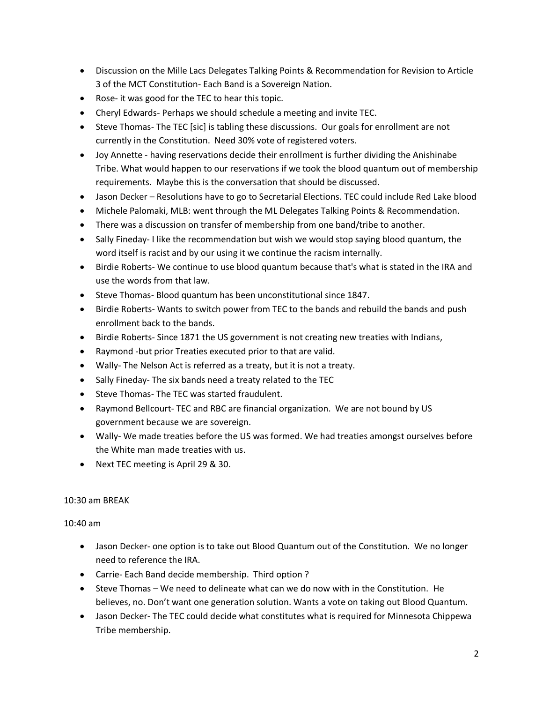- Discussion on the Mille Lacs Delegates Talking Points & Recommendation for Revision to Article 3 of the MCT Constitution- Each Band is a Sovereign Nation.
- Rose- it was good for the TEC to hear this topic.
- Cheryl Edwards- Perhaps we should schedule a meeting and invite TEC.
- Steve Thomas- The TEC [sic] is tabling these discussions. Our goals for enrollment are not currently in the Constitution. Need 30% vote of registered voters.
- Joy Annette having reservations decide their enrollment is further dividing the Anishinabe Tribe. What would happen to our reservations if we took the blood quantum out of membership requirements. Maybe this is the conversation that should be discussed.
- Jason Decker Resolutions have to go to Secretarial Elections. TEC could include Red Lake blood
- Michele Palomaki, MLB: went through the ML Delegates Talking Points & Recommendation.
- There was a discussion on transfer of membership from one band/tribe to another.
- Sally Fineday- I like the recommendation but wish we would stop saying blood quantum, the word itself is racist and by our using it we continue the racism internally.
- Birdie Roberts- We continue to use blood quantum because that's what is stated in the IRA and use the words from that law.
- Steve Thomas- Blood quantum has been unconstitutional since 1847.
- Birdie Roberts- Wants to switch power from TEC to the bands and rebuild the bands and push enrollment back to the bands.
- Birdie Roberts- Since 1871 the US government is not creating new treaties with Indians,
- Raymond -but prior Treaties executed prior to that are valid.
- Wally- The Nelson Act is referred as a treaty, but it is not a treaty.
- Sally Fineday- The six bands need a treaty related to the TEC
- Steve Thomas- The TEC was started fraudulent.
- Raymond Bellcourt- TEC and RBC are financial organization. We are not bound by US government because we are sovereign.
- Wally- We made treaties before the US was formed. We had treaties amongst ourselves before the White man made treaties with us.
- Next TEC meeting is April 29 & 30.

## 10:30 am BREAK

10:40 am

- Jason Decker- one option is to take out Blood Quantum out of the Constitution. We no longer need to reference the IRA.
- Carrie- Each Band decide membership. Third option ?
- Steve Thomas We need to delineate what can we do now with in the Constitution. He believes, no. Don't want one generation solution. Wants a vote on taking out Blood Quantum.
- Jason Decker- The TEC could decide what constitutes what is required for Minnesota Chippewa Tribe membership.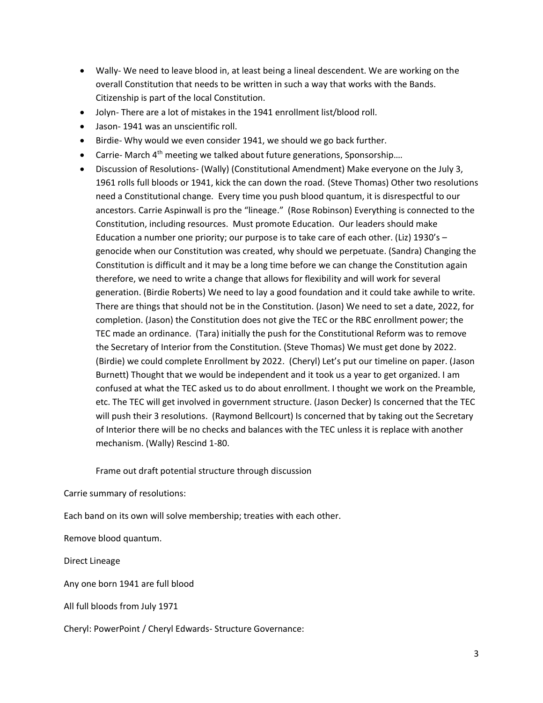- Wally- We need to leave blood in, at least being a lineal descendent. We are working on the overall Constitution that needs to be written in such a way that works with the Bands. Citizenship is part of the local Constitution.
- Jolyn- There are a lot of mistakes in the 1941 enrollment list/blood roll.
- Jason- 1941 was an unscientific roll.
- Birdie- Why would we even consider 1941, we should we go back further.
- Carrie- March  $4<sup>th</sup>$  meeting we talked about future generations, Sponsorship....
- Discussion of Resolutions- (Wally) (Constitutional Amendment) Make everyone on the July 3, 1961 rolls full bloods or 1941, kick the can down the road. (Steve Thomas) Other two resolutions need a Constitutional change. Every time you push blood quantum, it is disrespectful to our ancestors. Carrie Aspinwall is pro the "lineage." (Rose Robinson) Everything is connected to the Constitution, including resources. Must promote Education. Our leaders should make Education a number one priority; our purpose is to take care of each other. (Liz) 1930's – genocide when our Constitution was created, why should we perpetuate. (Sandra) Changing the Constitution is difficult and it may be a long time before we can change the Constitution again therefore, we need to write a change that allows for flexibility and will work for several generation. (Birdie Roberts) We need to lay a good foundation and it could take awhile to write. There are things that should not be in the Constitution. (Jason) We need to set a date, 2022, for completion. (Jason) the Constitution does not give the TEC or the RBC enrollment power; the TEC made an ordinance. (Tara) initially the push for the Constitutional Reform was to remove the Secretary of Interior from the Constitution. (Steve Thomas) We must get done by 2022. (Birdie) we could complete Enrollment by 2022. (Cheryl) Let's put our timeline on paper. (Jason Burnett) Thought that we would be independent and it took us a year to get organized. I am confused at what the TEC asked us to do about enrollment. I thought we work on the Preamble, etc. The TEC will get involved in government structure. (Jason Decker) Is concerned that the TEC will push their 3 resolutions. (Raymond Bellcourt) Is concerned that by taking out the Secretary of Interior there will be no checks and balances with the TEC unless it is replace with another mechanism. (Wally) Rescind 1-80.

Frame out draft potential structure through discussion

Carrie summary of resolutions:

Each band on its own will solve membership; treaties with each other.

Remove blood quantum.

Direct Lineage

Any one born 1941 are full blood

All full bloods from July 1971

Cheryl: PowerPoint / Cheryl Edwards- Structure Governance: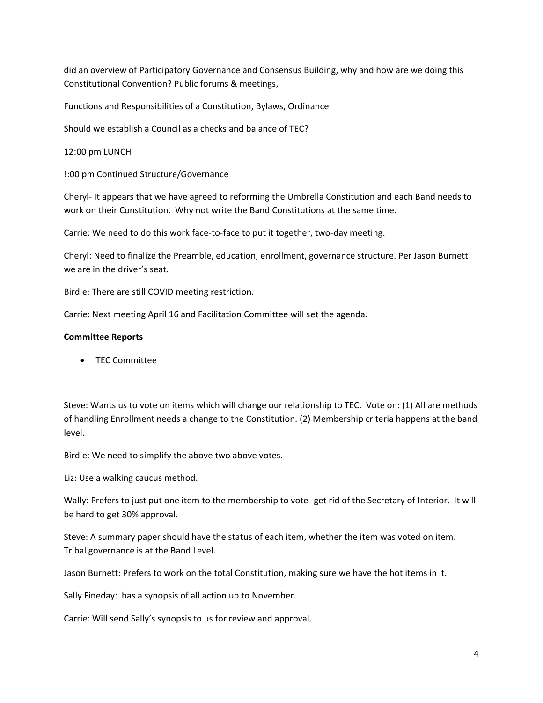did an overview of Participatory Governance and Consensus Building, why and how are we doing this Constitutional Convention? Public forums & meetings,

Functions and Responsibilities of a Constitution, Bylaws, Ordinance

Should we establish a Council as a checks and balance of TEC?

12:00 pm LUNCH

!:00 pm Continued Structure/Governance

Cheryl- It appears that we have agreed to reforming the Umbrella Constitution and each Band needs to work on their Constitution. Why not write the Band Constitutions at the same time.

Carrie: We need to do this work face-to-face to put it together, two-day meeting.

Cheryl: Need to finalize the Preamble, education, enrollment, governance structure. Per Jason Burnett we are in the driver's seat.

Birdie: There are still COVID meeting restriction.

Carrie: Next meeting April 16 and Facilitation Committee will set the agenda.

## **Committee Reports**

• TEC Committee

Steve: Wants us to vote on items which will change our relationship to TEC. Vote on: (1) All are methods of handling Enrollment needs a change to the Constitution. (2) Membership criteria happens at the band level.

Birdie: We need to simplify the above two above votes.

Liz: Use a walking caucus method.

Wally: Prefers to just put one item to the membership to vote- get rid of the Secretary of Interior. It will be hard to get 30% approval.

Steve: A summary paper should have the status of each item, whether the item was voted on item. Tribal governance is at the Band Level.

Jason Burnett: Prefers to work on the total Constitution, making sure we have the hot items in it.

Sally Fineday: has a synopsis of all action up to November.

Carrie: Will send Sally's synopsis to us for review and approval.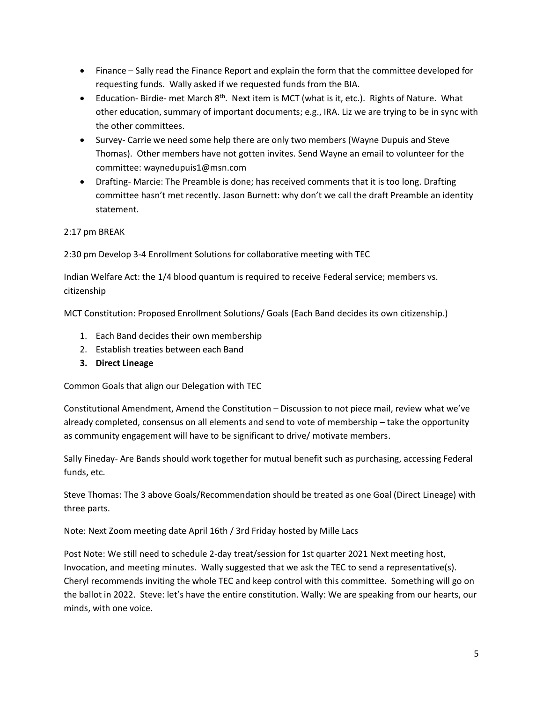- Finance Sally read the Finance Report and explain the form that the committee developed for requesting funds. Wally asked if we requested funds from the BIA.
- Education- Birdie- met March 8<sup>th</sup>. Next item is MCT (what is it, etc.). Rights of Nature. What other education, summary of important documents; e.g., IRA. Liz we are trying to be in sync with the other committees.
- Survey- Carrie we need some help there are only two members (Wayne Dupuis and Steve Thomas). Other members have not gotten invites. Send Wayne an email to volunteer for the committee: waynedupuis1@msn.com
- Drafting- Marcie: The Preamble is done; has received comments that it is too long. Drafting committee hasn't met recently. Jason Burnett: why don't we call the draft Preamble an identity statement.

## 2:17 pm BREAK

2:30 pm Develop 3-4 Enrollment Solutions for collaborative meeting with TEC

Indian Welfare Act: the 1/4 blood quantum is required to receive Federal service; members vs. citizenship

MCT Constitution: Proposed Enrollment Solutions/ Goals (Each Band decides its own citizenship.)

- 1. Each Band decides their own membership
- 2. Establish treaties between each Band
- **3. Direct Lineage**

Common Goals that align our Delegation with TEC

Constitutional Amendment, Amend the Constitution – Discussion to not piece mail, review what we've already completed, consensus on all elements and send to vote of membership – take the opportunity as community engagement will have to be significant to drive/ motivate members.

Sally Fineday- Are Bands should work together for mutual benefit such as purchasing, accessing Federal funds, etc.

Steve Thomas: The 3 above Goals/Recommendation should be treated as one Goal (Direct Lineage) with three parts.

Note: Next Zoom meeting date April 16th / 3rd Friday hosted by Mille Lacs

Post Note: We still need to schedule 2-day treat/session for 1st quarter 2021 Next meeting host, Invocation, and meeting minutes. Wally suggested that we ask the TEC to send a representative(s). Cheryl recommends inviting the whole TEC and keep control with this committee. Something will go on the ballot in 2022. Steve: let's have the entire constitution. Wally: We are speaking from our hearts, our minds, with one voice.